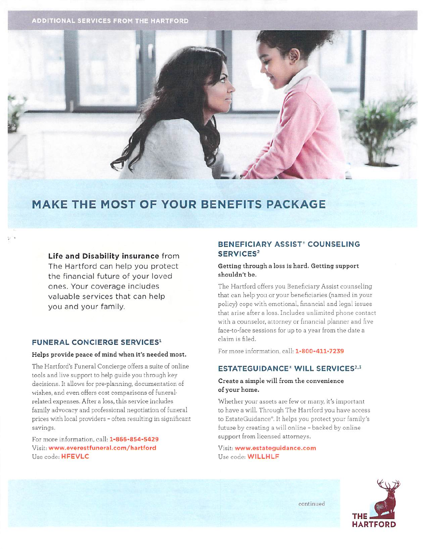**ADDITIONAL SERVICES FROM THE HARTFORD** 



# **MAKE THE MOST OF YOUR BENEFITS PACKAGE**

# Life and Disability insurance from

The Hartford can help you protect the financial future of your loved ones. Your coverage includes valuable services that can help you and your family.

# **FUNERAL CONCIERGE SERVICES1**

# Helps provide peace of mind when it's needed most.

The Hartford's Funeral Concierge offers a suite of online tools and live support to help guide you through key decisions. It allows for pre-planning, documentation of wishes, and even offers cost comparisons of funeralrelated expenses. After a loss, this service includes family advocacy and professional negotiation of funeral prices with local providers - often resulting in significant savings.

For more information, call: 1-866-854-5429 Visit: www.everestfuneral.com/hartford Use code: HFEVLC

# **BENEFICIARY ASSIST' COUNSELING** SERVICES<sup>2</sup>

# Getting through a loss is hard. Getting support shouldn't be.

The Hartford offers you Beneficiary Assist counseling that can help you or your beneficiaries (named in your policy) cope with emotional, financial and legal issues that arise after a loss. Includes unlimited phone contact with a counselor, attorney or financial planner and five face-to-face sessions for up to a year from the date a claim is filed.

For more information, call: 1-800-411-7239

# **ESTATEGUIDANCE<sup>®</sup> WILL SERVICES<sup>2,3</sup>**

# Create a simple will from the convenience of your home.

Whether your assets are few or many, it's important to have a will. Through The Hartford you have access to EstateGuidance®. It helps you protect your family's future by creating a will online - backed by online support from licensed attorneys.

Visit: www.estateguidance.com Use code: WILLHLF



continued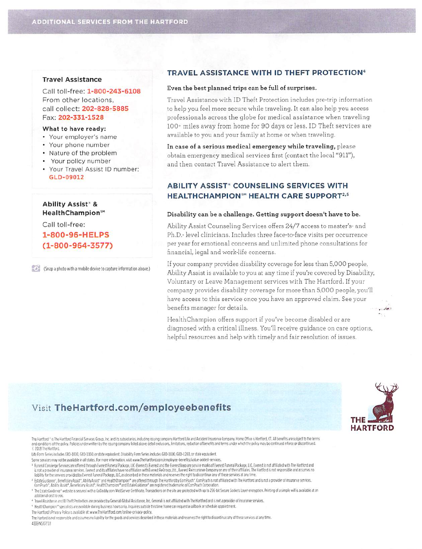# **Travel Assistance**

Call toll-free: 1-800-243-6108 From other locations. call collect: 202-828-5885 Fax: 202-331-1528

#### What to have ready:

- Your employer's name
- Your phone number
- Nature of the problem
- Your policy number
- Your Travel Assist ID number: GLD-09012

**Ability Assist<sup>®</sup> &** HealthChampion<sup>5M</sup>

Call toll-free: 1-800-96-HELPS  $(1 - 800 - 964 - 3577)$ 

(Snap a photo with a mobile device to capture information above.)

# TRAVEL ASSISTANCE WITH ID THEFT PROTECTION<sup>4</sup>

#### Even the best planned trips can be full of surprises.

Travel Assistance with ID Theft Protection includes pre-trip information to help you feel more secure while traveling. It can also help you access professionals across the globe for medical assistance when traveling 100+ miles away from home for 90 days or less. ID Theft services are available to you and your family at home or when traveling.

In case of a serious medical emergency while traveling, please obtain emergency medical services first (contact the local "911"), and then contact Travel Assistance to alert them.

# **ABILITY ASSIST\* COUNSELING SERVICES WITH HEALTHCHAMPION<sup>SM</sup> HEALTH CARE SUPPORT<sup>2,5</sup>**

#### Disability can be a challenge. Getting support doesn't have to be.

Ability Assist Counseling Services offers 24/7 access to master's- and Ph.D.- level clinicians. Includes three face-to-face visits per occurrence per year for emotional concerns and unlimited phone consultations for financial, legal and work-life concerns.

If your company provides disability coverage for less than 5,000 people. Ability Assist is available to you at any time if you're covered by Disability, Voluntary or Leave Management services with The Hartford. If your company provides disability coverage for more than 5,000 people, you'll have access to this service once you have an approved claim. See your benefits manager for details.

HealthChampion offers support if you've become disabled or are diagnosed with a critical illness. You'll receive guidance on care options, helpful resources and help with timely and fair resolution of issues.

# Visit TheHartford.com/employeebenefits

The Hartford <sup>+</sup> is The Hartford Financial Services Group, Inc. and its subsidiaries, including issuing company Hartford Life and Accident Insurance Company. Home Office is Hartford, CT. All benefits are subject to the ter and conditions of the policy. Policies underwritten by the issuing company listed above detail exclusions, limitations, reduction of benefits and terms under which the policy may be continued inforce or discontinued. £ 2018 The Hartford.

Life Form Series includes GBD-1000, GBD-1100, or state equivalent. Disability Form Series includes GBD-1000, GBD-1200, or state equivalent.

Some services may not be available in all states. For more information, visit www.TheHartford.com/employee-benefits/value-added-services.

Funeral Concierge Services are offered through Everest Funeral Package, LLC (Everest), Everest and the Everest logo are service marks of Everest Funeral Package, LLC. Everest is not affiliated with The Hartford and is not a provider of insurance services. Everest and its affiliates have no affiliation with Everest ReGroup, Ltd., Everest Reinsurance Company or any of their affiliates. The Hartford is not responsible and assumes no liability for the services provided by Everest Funeral Package, LLC, as described in these materials and reserves the right to discontinue any of these services at any time.

<sup>2</sup> EstateGuidance', BeneficiaryAssist', AbilityAssist' and HealthChampion™ are offered through The Hartford by ComPsych', ComPsych is not affiliated with The Hartford and is not a provider of insurance services.<br>ComPsych'

<sup>3</sup> The EstateGuidance\* website is secured with a GoDaddy.com WebServer Certificate. Transactions on the site are protected with up to 256-bit Secure Sockets Layer encryption. Printing of a simple will is available at an additional cost to you.

\* Travel Assistance and ID Theft Protection are provided by Generali Global Assistance, Inc. Generali is not affiliated with The Hartford and is not a provider of insurance services.

\* HealthChampion™ specialists are available during business hours only. Inquiries outside this time frame can request a callback or schedule appointment.

The Hartford's Privacy Policy is available at: www.TheHartfford.com/online-privacy-policy.

The Harford is not responsible and assumes no liability for the goods and services described in these materials and reserves the right to discontinue any of these services at any time. 4339 NS 07/18



 $-$  ban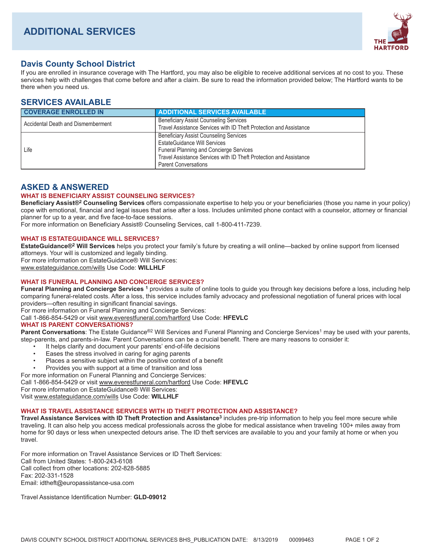

# **Davis County School District**

If you are enrolled in insurance coverage with The Hartford, you may also be eligible to receive additional services at no cost to you. These services help with challenges that come before and after a claim. Be sure to read the information provided below; The Hartford wants to be there when you need us.

# **SERVICES AVAILABLE**

| <b>COVERAGE ENROLLED IN</b>        | <b>ADDITIONAL SERVICES AVAILABLE</b>                                                                                                                                                                                                        |
|------------------------------------|---------------------------------------------------------------------------------------------------------------------------------------------------------------------------------------------------------------------------------------------|
| Accidental Death and Dismemberment | <b>Beneficiary Assist Counseling Services</b><br>Travel Assistance Services with ID Theft Protection and Assistance                                                                                                                         |
| Life                               | <b>Beneficiary Assist Counseling Services</b><br><b>EstateGuidance Will Services</b><br><b>Funeral Planning and Concierge Services</b><br>Travel Assistance Services with ID Theft Protection and Assistance<br><b>Parent Conversations</b> |

# **ASKED & ANSWERED**

### **WHAT IS BENEFICIARY ASSIST COUNSELING SERVICES?**

**Beneficiary Assist®2 Counseling Services** offers compassionate expertise to help you or your beneficiaries (those you name in your policy) cope with emotional, financial and legal issues that arise after a loss. Includes unlimited phone contact with a counselor, attorney or financial planner for up to a year, and five face-to-face sessions.

For more information on Beneficiary Assist® Counseling Services, call 1-800-411-7239.

### **WHAT IS ESTATEGUIDANCE WILL SERVICES?**

**EstateGuidance®2 Will Services** helps you protect your family's future by creating a will online—backed by online support from licensed attorneys. Your will is customized and legally binding. For more information on EstateGuidance® Will Services: www.estateguidance.com/wills Use Code: **WILLHLF** 

# **WHAT IS FUNERAL PLANNING AND CONCIERGE SERVICES?**

**Funeral Planning and Concierge Services 1** provides a suite of online tools to guide you through key decisions before a loss, including help comparing funeral-related costs. After a loss, this service includes family advocacy and professional negotiation of funeral prices with local providers—often resulting in significant financial savings.

For more information on Funeral Planning and Concierge Services:

Call 1-866-854-5429 or visit www.everestfuneral.com/hartford Use Code: **HFEVLC** 

### **WHAT IS PARENT CONVERSATIONS?**

Parent Conversations: The Estate Guidance<sup>®2</sup> Will Services and Funeral Planning and Concierge Services<sup>1</sup> may be used with your parents, step-parents, and parents-in-law. Parent Conversations can be a crucial benefit. There are many reasons to consider it:

- It helps clarify and document your parents' end-of-life decisions
- Eases the stress involved in caring for aging parents
- Places a sensitive subject within the positive context of a benefit
- Provides you with support at a time of transition and loss

For more information on Funeral Planning and Concierge Services:

Call 1-866-854-5429 or visit www.everestfuneral.com/hartford Use Code: **HFEVLC** 

For more information on EstateGuidance® Will Services:

Visit www.estateguidance.com/wills Use Code: **WILLHLF** 

### **WHAT IS TRAVEL ASSISTANCE SERVICES WITH ID THEFT PROTECTION AND ASSISTANCE?**

**Travel Assistance Services with ID Theft Protection and Assistance3** includes pre-trip information to help you feel more secure while traveling. It can also help you access medical professionals across the globe for medical assistance when traveling 100+ miles away from home for 90 days or less when unexpected detours arise. The ID theft services are available to you and your family at home or when you travel.

For more information on Travel Assistance Services or ID Theft Services: Call from United States: 1-800-243-6108 Call collect from other locations: 202-828-5885 Fax: 202-331-1528 Email: idtheft@europassistance-usa.com

Travel Assistance Identification Number: **GLD-09012**